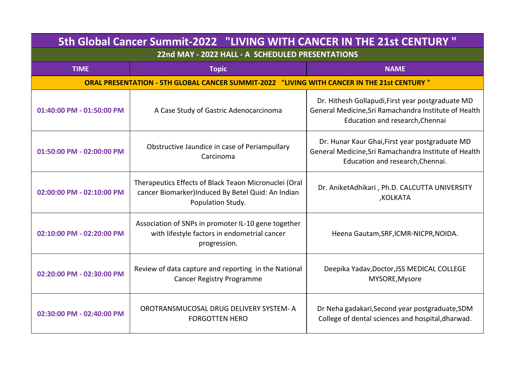| 5th Global Cancer Summit-2022 "LIVING WITH CANCER IN THE 21st CENTURY"                     |                                                                                                                                 |                                                                                                                                               |  |  |
|--------------------------------------------------------------------------------------------|---------------------------------------------------------------------------------------------------------------------------------|-----------------------------------------------------------------------------------------------------------------------------------------------|--|--|
| 22nd MAY - 2022 HALL - A SCHEDULED PRESENTATIONS                                           |                                                                                                                                 |                                                                                                                                               |  |  |
| <b>TIME</b>                                                                                | <b>Topic</b>                                                                                                                    | <b>NAME</b>                                                                                                                                   |  |  |
| ORAL PRESENTATION - 5TH GLOBAL CANCER SUMMIT-2022 "LIVING WITH CANCER IN THE 21st CENTURY" |                                                                                                                                 |                                                                                                                                               |  |  |
| 01:40:00 PM - 01:50:00 PM                                                                  | A Case Study of Gastric Adenocarcinoma                                                                                          | Dr. Hithesh Gollapudi, First year postgraduate MD<br>General Medicine, Sri Ramachandra Institute of Health<br>Education and research, Chennai |  |  |
| 01:50:00 PM - 02:00:00 PM                                                                  | Obstructive Jaundice in case of Periampullary<br>Carcinoma                                                                      | Dr. Hunar Kaur Ghai, First year postgraduate MD<br>General Medicine, Sri Ramachandra Institute of Health<br>Education and research, Chennai.  |  |  |
| 02:00:00 PM - 02:10:00 PM                                                                  | Therapeutics Effects of Black Teaon Micronuclei (Oral<br>cancer Biomarker)Induced By Betel Quid: An Indian<br>Population Study. | Dr. AniketAdhikari, Ph.D. CALCUTTA UNIVERSITY<br>,KOLKATA                                                                                     |  |  |
| 02:10:00 PM - 02:20:00 PM                                                                  | Association of SNPs in promoter IL-10 gene together<br>with lifestyle factors in endometrial cancer<br>progression.             | Heena Gautam, SRF, ICMR-NICPR, NOIDA.                                                                                                         |  |  |
| 02:20:00 PM - 02:30:00 PM                                                                  | Review of data capture and reporting in the National<br><b>Cancer Registry Programme</b>                                        | Deepika Yadav, Doctor, JSS MEDICAL COLLEGE<br>MYSORE, Mysore                                                                                  |  |  |
| 02:30:00 PM - 02:40:00 PM                                                                  | OROTRANSMUCOSAL DRUG DELIVERY SYSTEM-A<br><b>FORGOTTEN HERO</b>                                                                 | Dr Neha gadakari, Second year postgraduate, SDM<br>College of dental sciences and hospital, dharwad.                                          |  |  |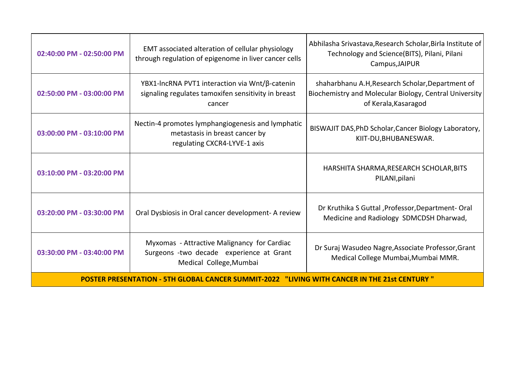| 02:40:00 PM - 02:50:00 PM                                                                    | EMT associated alteration of cellular physiology<br>through regulation of epigenome in liver cancer cells           | Abhilasha Srivastava, Research Scholar, Birla Institute of<br>Technology and Science(BITS), Pilani, Pilani<br>Campus, JAIPUR       |  |  |
|----------------------------------------------------------------------------------------------|---------------------------------------------------------------------------------------------------------------------|------------------------------------------------------------------------------------------------------------------------------------|--|--|
| 02:50:00 PM - 03:00:00 PM                                                                    | YBX1-IncRNA PVT1 interaction via Wnt/β-catenin<br>signaling regulates tamoxifen sensitivity in breast<br>cancer     | shaharbhanu A.H, Research Scholar, Department of<br>Biochemistry and Molecular Biology, Central University<br>of Kerala, Kasaragod |  |  |
| 03:00:00 PM - 03:10:00 PM                                                                    | Nectin-4 promotes lymphangiogenesis and lymphatic<br>metastasis in breast cancer by<br>regulating CXCR4-LYVE-1 axis | BISWAJIT DAS, PhD Scholar, Cancer Biology Laboratory,<br>KIIT-DU, BHUBANESWAR.                                                     |  |  |
| 03:10:00 PM - 03:20:00 PM                                                                    |                                                                                                                     | HARSHITA SHARMA, RESEARCH SCHOLAR, BITS<br>PILANI, pilani                                                                          |  |  |
| 03:20:00 PM - 03:30:00 PM                                                                    | Oral Dysbiosis in Oral cancer development- A review                                                                 | Dr Kruthika S Guttal, Professor, Department-Oral<br>Medicine and Radiology SDMCDSH Dharwad,                                        |  |  |
| 03:30:00 PM - 03:40:00 PM                                                                    | Myxomas - Attractive Malignancy for Cardiac<br>Surgeons -two decade experience at Grant<br>Medical College, Mumbai  | Dr Suraj Wasudeo Nagre, Associate Professor, Grant<br>Medical College Mumbai, Mumbai MMR.                                          |  |  |
| POSTER PRESENTATION - 5TH GLOBAL CANCER SUMMIT-2022 "LIVING WITH CANCER IN THE 21st CENTURY" |                                                                                                                     |                                                                                                                                    |  |  |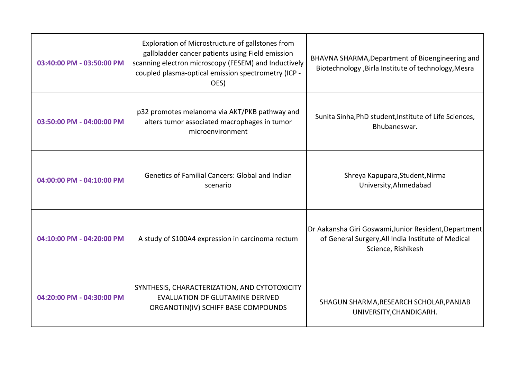| 03:40:00 PM - 03:50:00 PM | Exploration of Microstructure of gallstones from<br>gallbladder cancer patients using Field emission<br>scanning electron microscopy (FESEM) and Inductively<br>coupled plasma-optical emission spectrometry (ICP -<br>OES) | BHAVNA SHARMA, Department of Bioengineering and<br>Biotechnology , Birla Institute of technology, Mesra                           |
|---------------------------|-----------------------------------------------------------------------------------------------------------------------------------------------------------------------------------------------------------------------------|-----------------------------------------------------------------------------------------------------------------------------------|
| 03:50:00 PM - 04:00:00 PM | p32 promotes melanoma via AKT/PKB pathway and<br>alters tumor associated macrophages in tumor<br>microenvironment                                                                                                           | Sunita Sinha, PhD student, Institute of Life Sciences,<br>Bhubaneswar.                                                            |
| 04:00:00 PM - 04:10:00 PM | <b>Genetics of Familial Cancers: Global and Indian</b><br>scenario                                                                                                                                                          | Shreya Kapupara, Student, Nirma<br>University, Ahmedabad                                                                          |
| 04:10:00 PM - 04:20:00 PM | A study of S100A4 expression in carcinoma rectum                                                                                                                                                                            | Dr Aakansha Giri Goswami, Junior Resident, Department<br>of General Surgery, All India Institute of Medical<br>Science, Rishikesh |
| 04:20:00 PM - 04:30:00 PM | SYNTHESIS, CHARACTERIZATION, AND CYTOTOXICITY<br><b>EVALUATION OF GLUTAMINE DERIVED</b><br>ORGANOTIN(IV) SCHIFF BASE COMPOUNDS                                                                                              | SHAGUN SHARMA, RESEARCH SCHOLAR, PANJAB<br>UNIVERSITY, CHANDIGARH.                                                                |